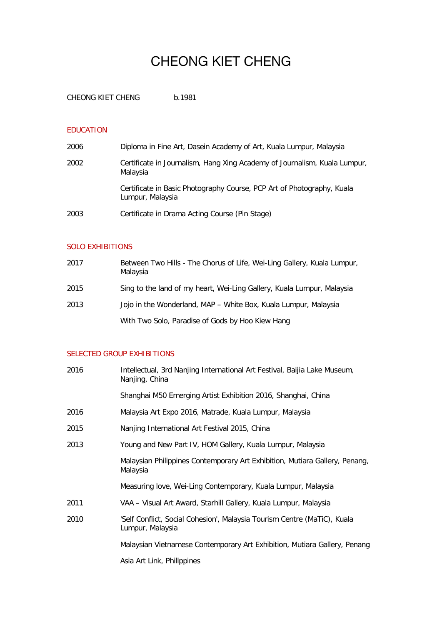# CHEONG KIET CHENG

CHEONG KIET CHENG b.1981

### EDUCATION

| 2006 | Diploma in Fine Art, Dasein Academy of Art, Kuala Lumpur, Malaysia                         |
|------|--------------------------------------------------------------------------------------------|
| 2002 | Certificate in Journalism, Hang Xing Academy of Journalism, Kuala Lumpur,<br>Malaysia      |
|      | Certificate in Basic Photography Course, PCP Art of Photography, Kuala<br>Lumpur, Malaysia |
| 2003 | Certificate in Drama Acting Course (Pin Stage)                                             |

### SOLO EXHIBITIONS

| 2017 | Between Two Hills - The Chorus of Life, Wei-Ling Gallery, Kuala Lumpur,<br>Malaysia |
|------|-------------------------------------------------------------------------------------|
| 2015 | Sing to the land of my heart, Wei-Ling Gallery, Kuala Lumpur, Malaysia              |
| 2013 | Jojo in the Wonderland, MAP - White Box, Kuala Lumpur, Malaysia                     |
|      | With Two Solo, Paradise of Gods by Hoo Kiew Hang                                    |

## SELECTED GROUP EXHIBITIONS

| 2016 | Intellectual, 3rd Nanjing International Art Festival, Baijia Lake Museum,<br>Nanjing, China  |
|------|----------------------------------------------------------------------------------------------|
|      | Shanghai M50 Emerging Artist Exhibition 2016, Shanghai, China                                |
| 2016 | Malaysia Art Expo 2016, Matrade, Kuala Lumpur, Malaysia                                      |
| 2015 | Nanjing International Art Festival 2015, China                                               |
| 2013 | Young and New Part IV, HOM Gallery, Kuala Lumpur, Malaysia                                   |
|      | Malaysian Philippines Contemporary Art Exhibition, Mutiara Gallery, Penang,<br>Malaysia      |
|      | Measuring love, Wei-Ling Contemporary, Kuala Lumpur, Malaysia                                |
| 2011 | VAA - Visual Art Award, Starhill Gallery, Kuala Lumpur, Malaysia                             |
| 2010 | 'Self Conflict, Social Cohesion', Malaysia Tourism Centre (MaTiC), Kuala<br>Lumpur, Malaysia |
|      | Malaysian Vietnamese Contemporary Art Exhibition, Mutiara Gallery, Penang                    |
|      | Asia Art Link, Phillppines                                                                   |